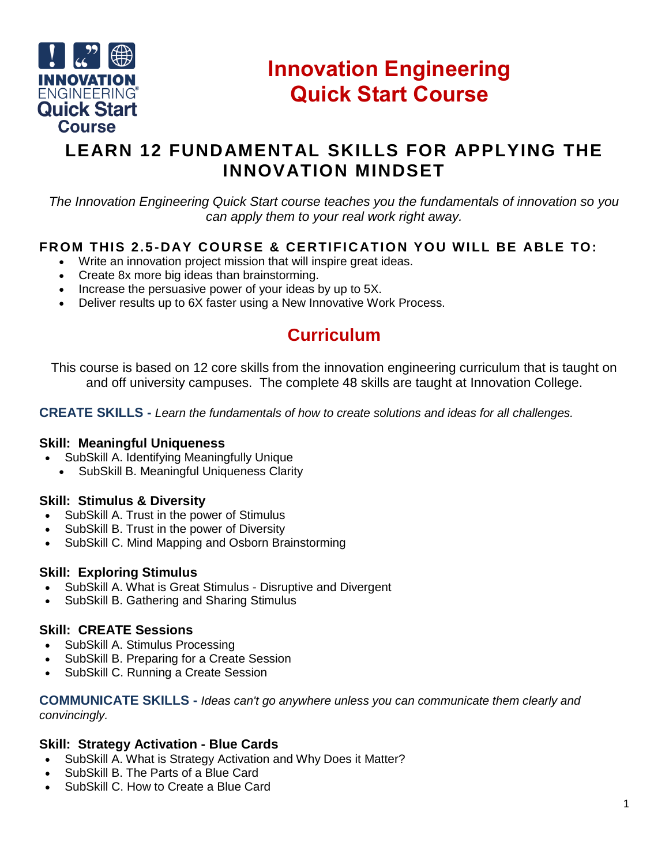

# **Innovation Engineering Quick Start Course**

## **LEARN 12 FUNDAMENTAL SKILLS FOR APPLYING THE INNOVATION MINDSET**

*The Innovation Engineering Quick Start course teaches you the fundamentals of innovation so you can apply them to your real work right away.*

### **FROM THIS 2.5-DAY COURSE & CERTIFICATION YOU WILL BE ABLE TO:**

- Write an innovation project mission that will inspire great ideas.
- Create 8x more big ideas than brainstorming.
- Increase the persuasive power of your ideas by up to 5X.
- Deliver results up to 6X faster using a New Innovative Work Process.

## **Curriculum**

This course is based on 12 core skills from the innovation engineering curriculum that is taught on and off university campuses. The complete 48 skills are taught at Innovation College.

**CREATE SKILLS -** *Learn the fundamentals of how to create solutions and ideas for all challenges.*

#### **Skill: Meaningful Uniqueness**

- SubSkill A. Identifying Meaningfully Unique
	- SubSkill B. Meaningful Uniqueness Clarity

#### **Skill: Stimulus & Diversity**

- SubSkill A. Trust in the power of Stimulus
- SubSkill B. Trust in the power of Diversity
- SubSkill C. Mind Mapping and Osborn Brainstorming

#### **Skill: Exploring Stimulus**

- SubSkill A. What is Great Stimulus Disruptive and Divergent
- SubSkill B. Gathering and Sharing Stimulus

#### **Skill: CREATE Sessions**

- SubSkill A. Stimulus Processing
- SubSkill B. Preparing for a Create Session
- SubSkill C. Running a Create Session

**COMMUNICATE SKILLS -** *Ideas can't go anywhere unless you can communicate them clearly and convincingly.*

#### **Skill: Strategy Activation - Blue Cards**

- SubSkill A. What is Strategy Activation and Why Does it Matter?
- SubSkill B. The Parts of a Blue Card
- SubSkill C. How to Create a Blue Card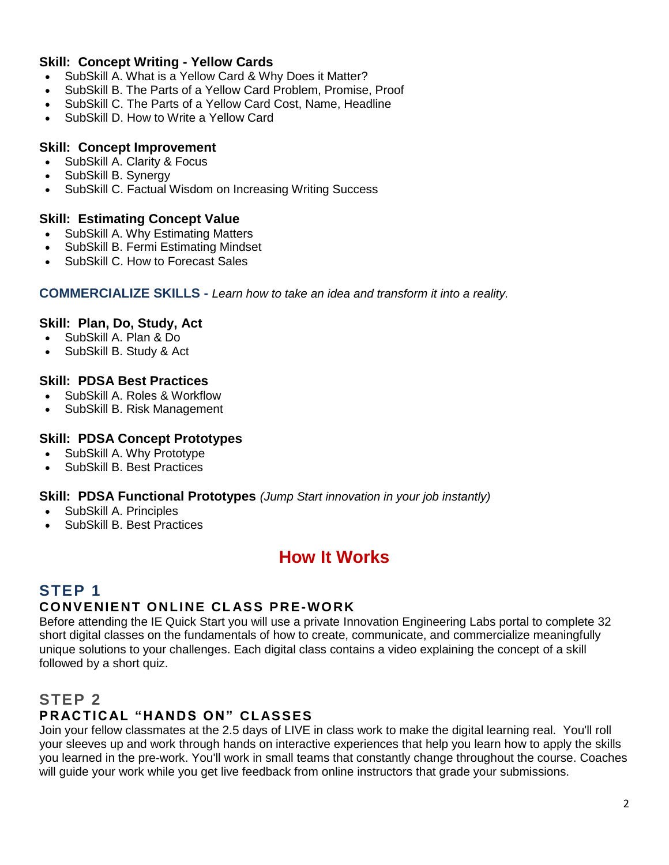#### **Skill: Concept Writing - Yellow Cards**

- SubSkill A. What is a Yellow Card & Why Does it Matter?
- SubSkill B. The Parts of a Yellow Card Problem, Promise, Proof
- SubSkill C. The Parts of a Yellow Card Cost, Name, Headline
- SubSkill D. How to Write a Yellow Card

#### **Skill: Concept Improvement**

- SubSkill A. Clarity & Focus
- SubSkill B. Synergy
- SubSkill C. Factual Wisdom on Increasing Writing Success

#### **Skill: Estimating Concept Value**

- SubSkill A. Why Estimating Matters
- SubSkill B. Fermi Estimating Mindset
- SubSkill C. How to Forecast Sales

#### **COMMERCIALIZE SKILLS -** *Learn how to take an idea and transform it into a reality.*

#### **Skill: Plan, Do, Study, Act**

- SubSkill A. Plan & Do
- SubSkill B. Study & Act

#### **Skill: PDSA Best Practices**

- SubSkill A. Roles & Workflow
- SubSkill B. Risk Management

#### **Skill: PDSA Concept Prototypes**

- SubSkill A. Why Prototype
- SubSkill B. Best Practices

#### **Skill: PDSA Functional Prototypes** *(Jump Start innovation in your job instantly)*

- SubSkill A. Principles
- SubSkill B. Best Practices

## **How It Works**

### **STEP 1**

### **CONVENIENT ONLINE CL ASS PRE-WORK**

Before attending the IE Quick Start you will use a private Innovation Engineering Labs portal to complete 32 short digital classes on the fundamentals of how to create, communicate, and commercialize meaningfully unique solutions to your challenges. Each digital class contains a video explaining the concept of a skill followed by a short quiz.

### **STEP 2**

### **PRACTICAL "HANDS ON" CLASSES**

Join your fellow classmates at the 2.5 days of LIVE in class work to make the digital learning real. You'll roll your sleeves up and work through hands on interactive experiences that help you learn how to apply the skills you learned in the pre-work. You'll work in small teams that constantly change throughout the course. Coaches will guide your work while you get live feedback from online instructors that grade your submissions.